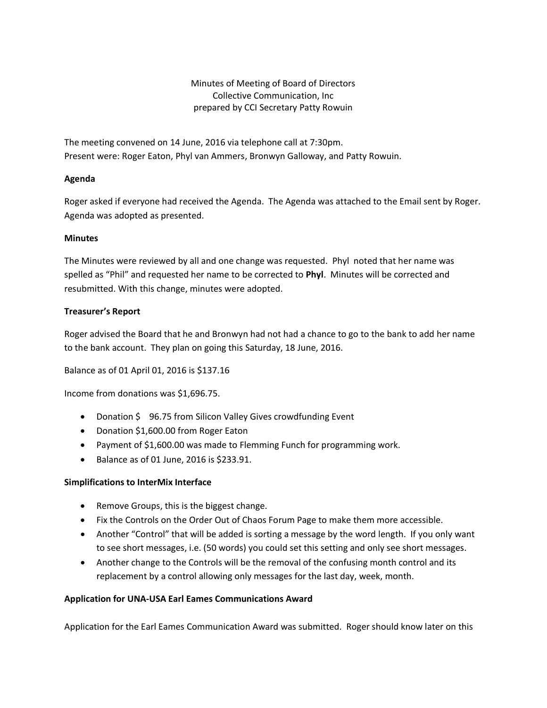Minutes of Meeting of Board of Directors Collective Communication, Inc prepared by CCI Secretary Patty Rowuin

The meeting convened on 14 June, 2016 via telephone call at 7:30pm. Present were: Roger Eaton, Phyl van Ammers, Bronwyn Galloway, and Patty Rowuin.

## **Agenda**

Roger asked if everyone had received the Agenda. The Agenda was attached to the Email sent by Roger. Agenda was adopted as presented.

# **Minutes**

The Minutes were reviewed by all and one change was requested. Phyl noted that her name was spelled as "Phil" and requested her name to be corrected to **Phyl**. Minutes will be corrected and resubmitted. With this change, minutes were adopted.

# **Treasurer's Report**

Roger advised the Board that he and Bronwyn had not had a chance to go to the bank to add her name to the bank account. They plan on going this Saturday, 18 June, 2016.

Balance as of 01 April 01, 2016 is \$137.16

Income from donations was \$1,696.75.

- Donation \$ 96.75 from Silicon Valley Gives crowdfunding Event
- Donation \$1,600.00 from Roger Eaton
- Payment of \$1,600.00 was made to Flemming Funch for programming work.
- $\bullet$  Balance as of 01 June, 2016 is \$233.91.

## **Simplifications to InterMix Interface**

- Remove Groups, this is the biggest change.
- Fix the Controls on the Order Out of Chaos Forum Page to make them more accessible.
- Another "Control" that will be added is sorting a message by the word length. If you only want to see short messages, i.e. (50 words) you could set this setting and only see short messages.
- Another change to the Controls will be the removal of the confusing month control and its replacement by a control allowing only messages for the last day, week, month.

## **Application for UNA-USA Earl Eames Communications Award**

Application for the Earl Eames Communication Award was submitted. Roger should know later on this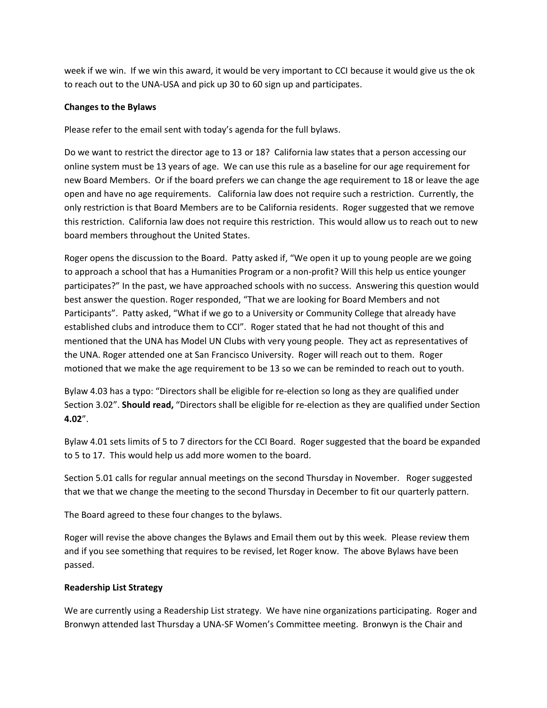week if we win. If we win this award, it would be very important to CCI because it would give us the ok to reach out to the UNA-USA and pick up 30 to 60 sign up and participates.

## **Changes to the Bylaws**

Please refer to the email sent with today's agenda for the full bylaws.

Do we want to restrict the director age to 13 or 18? California law states that a person accessing our online system must be 13 years of age. We can use this rule as a baseline for our age requirement for new Board Members. Or if the board prefers we can change the age requirement to 18 or leave the age open and have no age requirements. California law does not require such a restriction. Currently, the only restriction is that Board Members are to be California residents. Roger suggested that we remove this restriction. California law does not require this restriction. This would allow us to reach out to new board members throughout the United States.

Roger opens the discussion to the Board. Patty asked if, "We open it up to young people are we going to approach a school that has a Humanities Program or a non-profit? Will this help us entice younger participates?" In the past, we have approached schools with no success. Answering this question would best answer the question. Roger responded, "That we are looking for Board Members and not Participants". Patty asked, "What if we go to a University or Community College that already have established clubs and introduce them to CCI". Roger stated that he had not thought of this and mentioned that the UNA has Model UN Clubs with very young people. They act as representatives of the UNA. Roger attended one at San Francisco University. Roger will reach out to them. Roger motioned that we make the age requirement to be 13 so we can be reminded to reach out to youth.

Bylaw 4.03 has a typo: "Directors shall be eligible for re-election so long as they are qualified under Section 3.02". **Should read,** "Directors shall be eligible for re-election as they are qualified under Section **4.02**".

Bylaw 4.01 sets limits of 5 to 7 directors for the CCI Board. Roger suggested that the board be expanded to 5 to 17. This would help us add more women to the board.

Section 5.01 calls for regular annual meetings on the second Thursday in November. Roger suggested that we that we change the meeting to the second Thursday in December to fit our quarterly pattern.

The Board agreed to these four changes to the bylaws.

Roger will revise the above changes the Bylaws and Email them out by this week. Please review them and if you see something that requires to be revised, let Roger know. The above Bylaws have been passed.

## **Readership List Strategy**

We are currently using a Readership List strategy. We have nine organizations participating. Roger and Bronwyn attended last Thursday a UNA-SF Women's Committee meeting. Bronwyn is the Chair and